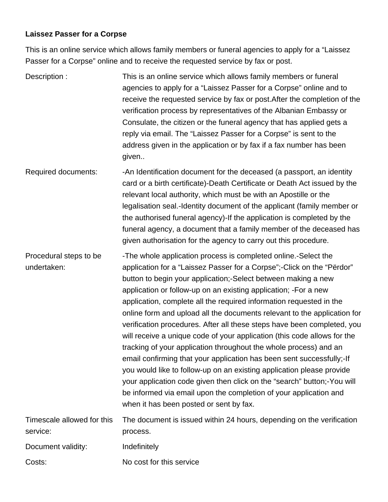## **Laissez Passer for a Corpse**

This is an online service which allows family members or funeral agencies to apply for a "Laissez Passer for a Corpse" online and to receive the requested service by fax or post.

| Description:                           | This is an online service which allows family members or funeral<br>agencies to apply for a "Laissez Passer for a Corpse" online and to<br>receive the requested service by fax or post. After the completion of the<br>verification process by representatives of the Albanian Embassy or<br>Consulate, the citizen or the funeral agency that has applied gets a<br>reply via email. The "Laissez Passer for a Corpse" is sent to the<br>address given in the application or by fax if a fax number has been<br>given                                                                                                                                                                                                                                                                                                                                                                                                                                                                                   |
|----------------------------------------|-----------------------------------------------------------------------------------------------------------------------------------------------------------------------------------------------------------------------------------------------------------------------------------------------------------------------------------------------------------------------------------------------------------------------------------------------------------------------------------------------------------------------------------------------------------------------------------------------------------------------------------------------------------------------------------------------------------------------------------------------------------------------------------------------------------------------------------------------------------------------------------------------------------------------------------------------------------------------------------------------------------|
| Required documents:                    | -An Identification document for the deceased (a passport, an identity<br>card or a birth certificate)-Death Certificate or Death Act issued by the<br>relevant local authority, which must be with an Apostille or the<br>legalisation seal.-Identity document of the applicant (family member or<br>the authorised funeral agency)-If the application is completed by the<br>funeral agency, a document that a family member of the deceased has<br>given authorisation for the agency to carry out this procedure.                                                                                                                                                                                                                                                                                                                                                                                                                                                                                      |
| Procedural steps to be<br>undertaken:  | -The whole application process is completed online.-Select the<br>application for a "Laissez Passer for a Corpse";-Click on the "Perdor"<br>button to begin your application;-Select between making a new<br>application or follow-up on an existing application; - For a new<br>application, complete all the required information requested in the<br>online form and upload all the documents relevant to the application for<br>verification procedures. After all these steps have been completed, you<br>will receive a unique code of your application (this code allows for the<br>tracking of your application throughout the whole process) and an<br>email confirming that your application has been sent successfully;-If<br>you would like to follow-up on an existing application please provide<br>your application code given then click on the "search" button;-You will<br>be informed via email upon the completion of your application and<br>when it has been posted or sent by fax. |
| Timescale allowed for this<br>service: | The document is issued within 24 hours, depending on the verification<br>process.                                                                                                                                                                                                                                                                                                                                                                                                                                                                                                                                                                                                                                                                                                                                                                                                                                                                                                                         |
| Document validity:                     | Indefinitely                                                                                                                                                                                                                                                                                                                                                                                                                                                                                                                                                                                                                                                                                                                                                                                                                                                                                                                                                                                              |
| Costs:                                 | No cost for this service                                                                                                                                                                                                                                                                                                                                                                                                                                                                                                                                                                                                                                                                                                                                                                                                                                                                                                                                                                                  |